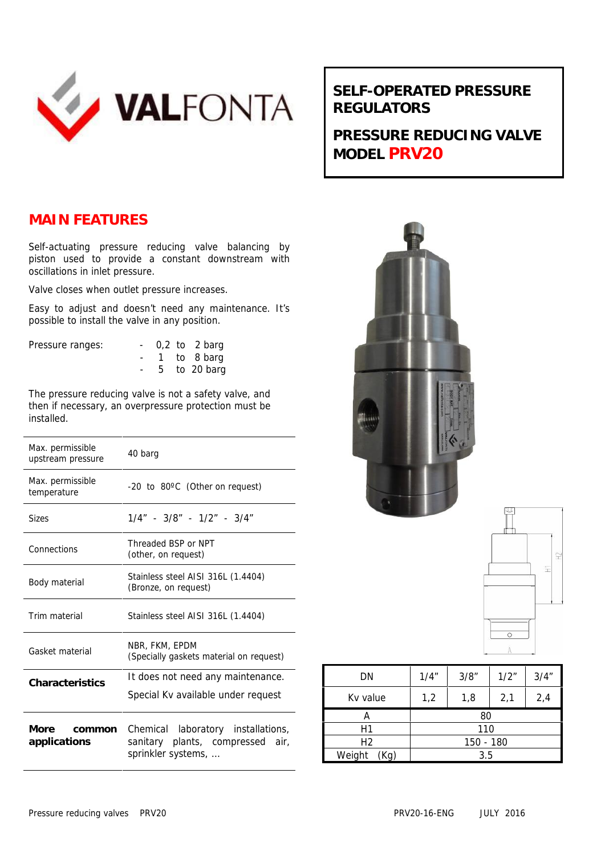

## **SELF-OPERATED PRESSURE REGULATORS**

**PRESSURE REDUCING VALVE MODEL PRV20**

## **MAIN FEATURES**

Self-actuating pressure reducing valve balancing by piston used to provide a constant downstream with oscillations in inlet pressure.

Valve closes when outlet pressure increases.

Easy to adjust and doesn't need any maintenance. It's possible to install the valve in any position.

| Pressure ranges: |  | $-0.2$ to 2 barg |
|------------------|--|------------------|
|                  |  | - 1 to 8 barg    |
|                  |  | $-5$ to 20 barg  |

The pressure reducing valve is not a safety valve, and then if necessary, an overpressure protection must be installed.

| Max. permissible<br>upstream pressure | 40 barg                                                                                         |  |  |
|---------------------------------------|-------------------------------------------------------------------------------------------------|--|--|
| Max. permissible<br>temperature       | -20 to 80°C (Other on request)                                                                  |  |  |
| <b>Sizes</b>                          | $1/4" - 3/8" - 1/2" - 3/4"$                                                                     |  |  |
| Connections                           | Threaded BSP or NPT<br>(other, on request)                                                      |  |  |
| Body material                         | Stainless steel AISI 316L (1.4404)<br>(Bronze, on request)                                      |  |  |
| Trim material                         | Stainless steel AISI 316L (1.4404)                                                              |  |  |
| Gasket material                       | NBR, FKM, EPDM<br>(Specially gaskets material on request)                                       |  |  |
| Characteristics                       | It does not need any maintenance.<br>Special Kv available under request                         |  |  |
| More<br>common<br>applications        | Chemical laboratory installations,<br>sanitary plants, compressed<br>air.<br>sprinkler systems, |  |  |





| DN             | 1/4"      | 3/8" | 1/2" | 3/4'' |
|----------------|-----------|------|------|-------|
| Ky value       | 1,2       | 1,8  | 2,1  | 2,4   |
| A              | 80        |      |      |       |
| Η1             | 110       |      |      |       |
| Η2             | 150 - 180 |      |      |       |
| Weight<br>(Kg) | 3.5       |      |      |       |